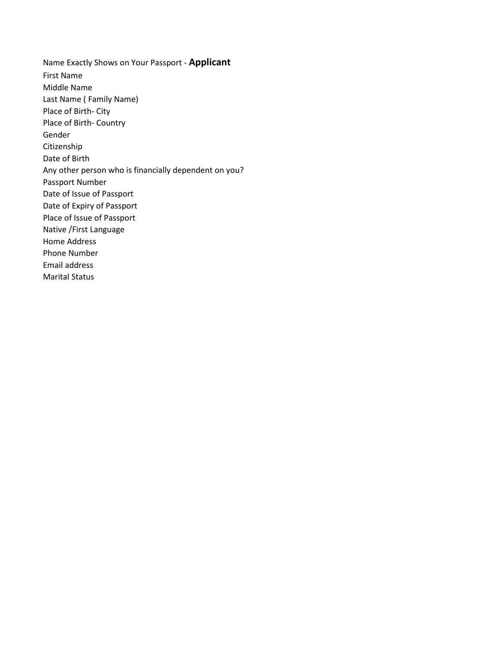Name Exactly Shows on Your Passport - **Applicant** First Name Middle Name Last Name ( Family Name) Place of Birth- City Place of Birth- Country Gender Citizenship Date of Birth Any other person who is financially dependent on you? Passport Number Date of Issue of Passport Date of Expiry of Passport Place of Issue of Passport Native /First Language Home Address Phone Number Email address Marital Status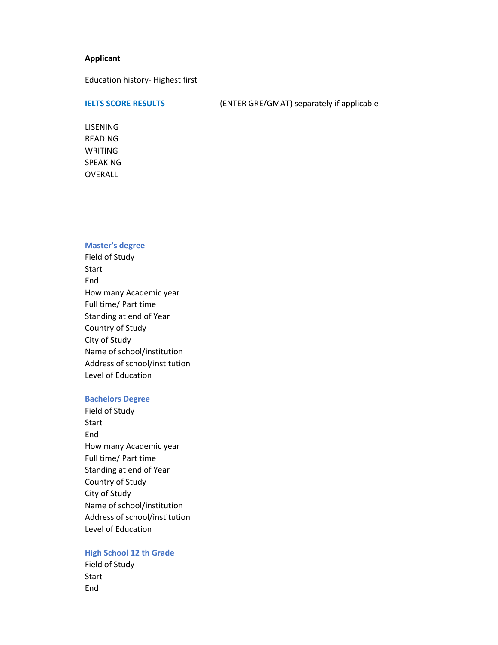# **Applicant**

Education history- Highest first

**IELTS SCORE RESULTS** (ENTER GRE/GMAT) separately if applicable

LISENING READING WRITING SPEAKING OVERALL

## **Master's degree**

Field of Study Start End How many Academic year Full time/ Part time Standing at end of Year Country of Study City of Study Name of school/institution Address of school/institution Level of Education

## **Bachelors Degree**

Field of Study Start End How many Academic year Full time/ Part time Standing at end of Year Country of Study City of Study Name of school/institution Address of school/institution Level of Education

# **High School 12 th Grade**

Field of Study Start End